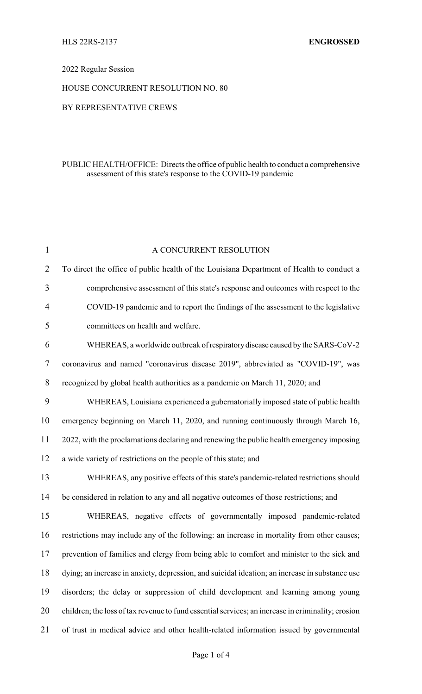## 2022 Regular Session

#### HOUSE CONCURRENT RESOLUTION NO. 80

#### BY REPRESENTATIVE CREWS

## PUBLIC HEALTH/OFFICE: Directs the office of public health to conduct a comprehensive assessment of this state's response to the COVID-19 pandemic

| $\mathbf{1}$   | A CONCURRENT RESOLUTION                                                                           |
|----------------|---------------------------------------------------------------------------------------------------|
| $\overline{2}$ | To direct the office of public health of the Louisiana Department of Health to conduct a          |
| 3              | comprehensive assessment of this state's response and outcomes with respect to the                |
| $\overline{4}$ | COVID-19 pandemic and to report the findings of the assessment to the legislative                 |
| 5              | committees on health and welfare.                                                                 |
| 6              | WHEREAS, a worldwide outbreak of respiratory disease caused by the SARS-CoV-2                     |
| $\overline{7}$ | coronavirus and named "coronavirus disease 2019", abbreviated as "COVID-19", was                  |
| 8              | recognized by global health authorities as a pandemic on March 11, 2020; and                      |
| 9              | WHEREAS, Louisiana experienced a gubernatorially imposed state of public health                   |
| 10             | emergency beginning on March 11, 2020, and running continuously through March 16,                 |
| 11             | 2022, with the proclamations declaring and renewing the public health emergency imposing          |
| 12             | a wide variety of restrictions on the people of this state; and                                   |
| 13             | WHEREAS, any positive effects of this state's pandemic-related restrictions should                |
| 14             | be considered in relation to any and all negative outcomes of those restrictions; and             |
| 15             | WHEREAS, negative effects of governmentally imposed pandemic-related                              |
| 16             | restrictions may include any of the following: an increase in mortality from other causes;        |
| 17             | prevention of families and clergy from being able to comfort and minister to the sick and         |
| 18             | dying; an increase in anxiety, depression, and suicidal ideation; an increase in substance use    |
| 19             | disorders; the delay or suppression of child development and learning among young                 |
| 20             | children; the loss of tax revenue to fund essential services; an increase in criminality; erosion |
| 21             | of trust in medical advice and other health-related information issued by governmental            |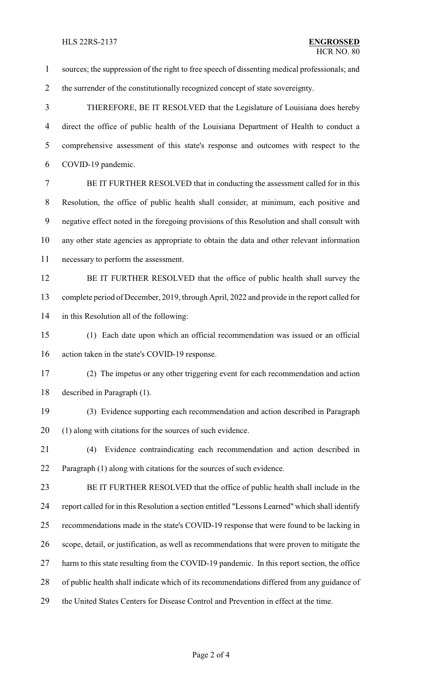sources; the suppression of the right to free speech of dissenting medical professionals; and 2 the surrender of the constitutionally recognized concept of state sovereignty. THEREFORE, BE IT RESOLVED that the Legislature of Louisiana does hereby direct the office of public health of the Louisiana Department of Health to conduct a comprehensive assessment of this state's response and outcomes with respect to the COVID-19 pandemic. BE IT FURTHER RESOLVED that in conducting the assessment called for in this Resolution, the office of public health shall consider, at minimum, each positive and negative effect noted in the foregoing provisions of this Resolution and shall consult with any other state agencies as appropriate to obtain the data and other relevant information necessary to perform the assessment. 12 BE IT FURTHER RESOLVED that the office of public health shall survey the complete period of December, 2019, through April, 2022 and provide in the report called for in this Resolution all of the following: (1) Each date upon which an official recommendation was issued or an official action taken in the state's COVID-19 response. (2) The impetus or any other triggering event for each recommendation and action described in Paragraph (1). (3) Evidence supporting each recommendation and action described in Paragraph (1) along with citations for the sources of such evidence. (4) Evidence contraindicating each recommendation and action described in Paragraph (1) along with citations for the sources of such evidence. BE IT FURTHER RESOLVED that the office of public health shall include in the report called for in this Resolution a section entitled "Lessons Learned" which shall identify recommendations made in the state's COVID-19 response that were found to be lacking in scope, detail, or justification, as well as recommendations that were proven to mitigate the 27 harm to this state resulting from the COVID-19 pandemic. In this report section, the office of public health shall indicate which of its recommendations differed from any guidance of the United States Centers for Disease Control and Prevention in effect at the time.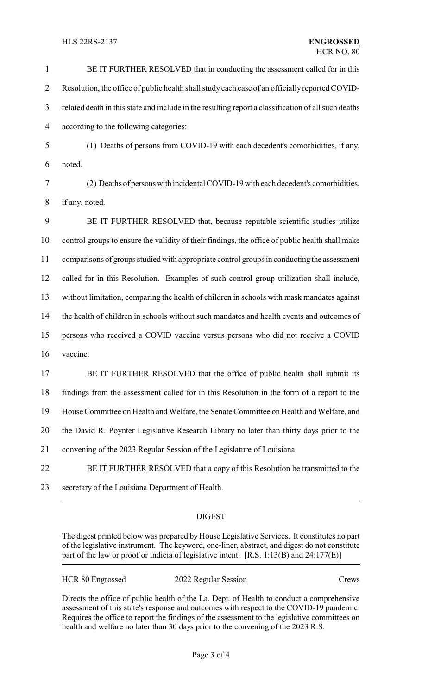#### HLS 22RS-2137 **ENGROSSED**

# 1 BE IT FURTHER RESOLVED that in conducting the assessment called for in this 2 Resolution, the office of public health shall study each case of an officially reported COVID-3 related death in this state and include in the resulting report a classification of all such deaths 4 according to the following categories:

- 5 (1) Deaths of persons from COVID-19 with each decedent's comorbidities, if any, 6 noted.
- 7 (2) Deaths of personswith incidental COVID-19 with each decedent's comorbidities, 8 if any, noted.

 BE IT FURTHER RESOLVED that, because reputable scientific studies utilize control groups to ensure the validity of their findings, the office of public health shall make comparisons of groups studied with appropriate control groups in conducting the assessment called for in this Resolution. Examples of such control group utilization shall include, without limitation, comparing the health of children in schools with mask mandates against the health of children in schools without such mandates and health events and outcomes of persons who received a COVID vaccine versus persons who did not receive a COVID 16 vaccine.

17 BE IT FURTHER RESOLVED that the office of public health shall submit its findings from the assessment called for in this Resolution in the form of a report to the House Committee on Health and Welfare, the Senate Committee on Health and Welfare, and the David R. Poynter Legislative Research Library no later than thirty days prior to the convening of the 2023 Regular Session of the Legislature of Louisiana. BE IT FURTHER RESOLVED that a copy of this Resolution be transmitted to the

23 secretary of the Louisiana Department of Health.

# **DIGEST**

The digest printed below was prepared by House Legislative Services. It constitutes no part of the legislative instrument. The keyword, one-liner, abstract, and digest do not constitute part of the law or proof or indicia of legislative intent. [R.S. 1:13(B) and 24:177(E)]

| HCR 80 Engrossed | 2022 Regular Session | Crews |
|------------------|----------------------|-------|
|                  |                      |       |

Directs the office of public health of the La. Dept. of Health to conduct a comprehensive assessment of this state's response and outcomes with respect to the COVID-19 pandemic. Requires the office to report the findings of the assessment to the legislative committees on health and welfare no later than 30 days prior to the convening of the 2023 R.S.